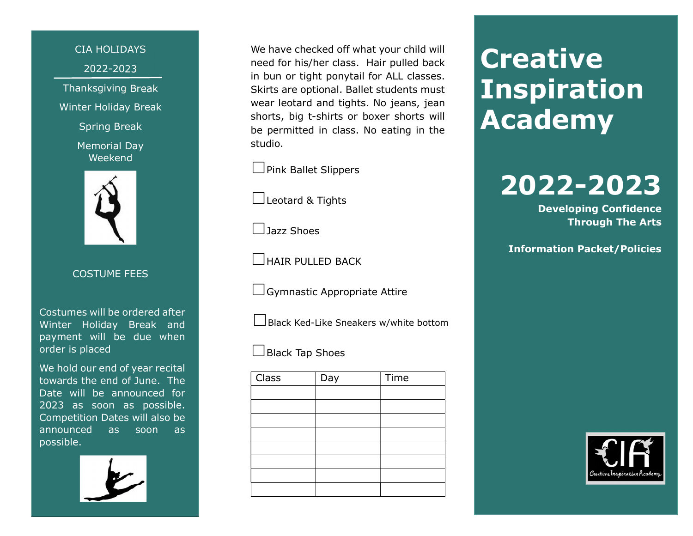CIA HOLIDAYS 2022-2023 Thanksgiving Break Winter Holiday Break

Spring Break

Memorial Day Weekend



COSTUME FEES

Costumes will be ordered after Winter Holiday Break and payment will be due when order is placed

We hold our end of year recital towards the end of June. The Date will be announced for 2023 as soon as possible. Competition Dates will also be announced as soon as possible.

We have checked off what your child will need for his/her class. Hair pulled back in bun or tight ponytail for ALL classes. Skirts are optional. Ballet students must wear leotard and tights. No jeans, jean shorts, big t-shirts or boxer shorts will be permitted in class. No eating in the studio.

□ Pink Ballet Slippers

☐Leotard & Tights

☐Jazz Shoes

☐HAIR PULLED BACK

☐Gymnastic Appropriate Attire

 $\Box$ Black Ked-Like Sneakers w/white bottom

☐Black Tap Shoes

| <b>Class</b> | Day | Time |
|--------------|-----|------|
|              |     |      |
|              |     |      |
|              |     |      |
|              |     |      |
|              |     |      |
|              |     |      |
|              |     |      |
|              |     |      |

# **Creative Inspiration** Academy

# 2022-2023

Developing Confidence Through The Arts

Information Packet/Policies